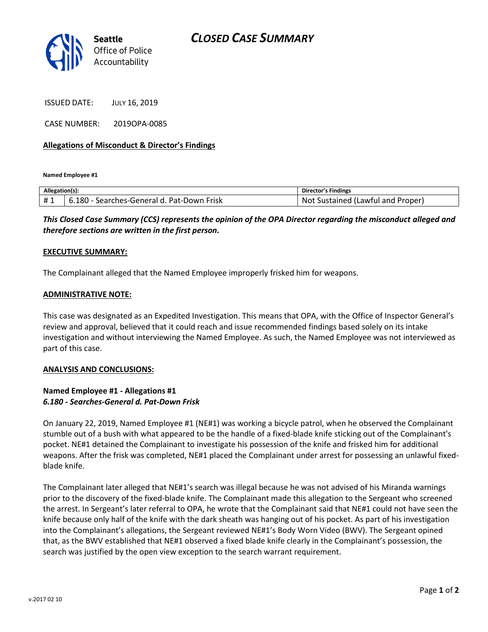

ISSUED DATE: JULY 16, 2019

CASE NUMBER: 2019OPA-0085

# **Allegations of Misconduct & Director's Findings**

**Named Employee #1**

| Allegation(s): |                                                 | Director's Findings                         |
|----------------|-------------------------------------------------|---------------------------------------------|
| #1             | 180<br>Frisk<br>Pat-Down<br>Searches-General d. | Not.<br>Proper<br>Lawful and<br>Sustained ( |

*This Closed Case Summary (CCS) represents the opinion of the OPA Director regarding the misconduct alleged and therefore sections are written in the first person.* 

### **EXECUTIVE SUMMARY:**

The Complainant alleged that the Named Employee improperly frisked him for weapons.

### **ADMINISTRATIVE NOTE:**

This case was designated as an Expedited Investigation. This means that OPA, with the Office of Inspector General's review and approval, believed that it could reach and issue recommended findings based solely on its intake investigation and without interviewing the Named Employee. As such, the Named Employee was not interviewed as part of this case.

### **ANALYSIS AND CONCLUSIONS:**

# **Named Employee #1 - Allegations #1** *6.180 - Searches-General d. Pat-Down Frisk*

On January 22, 2019, Named Employee #1 (NE#1) was working a bicycle patrol, when he observed the Complainant stumble out of a bush with what appeared to be the handle of a fixed-blade knife sticking out of the Complainant's pocket. NE#1 detained the Complainant to investigate his possession of the knife and frisked him for additional weapons. After the frisk was completed, NE#1 placed the Complainant under arrest for possessing an unlawful fixedblade knife.

The Complainant later alleged that NE#1's search was illegal because he was not advised of his Miranda warnings prior to the discovery of the fixed-blade knife. The Complainant made this allegation to the Sergeant who screened the arrest. In Sergeant's later referral to OPA, he wrote that the Complainant said that NE#1 could not have seen the knife because only half of the knife with the dark sheath was hanging out of his pocket. As part of his investigation into the Complainant's allegations, the Sergeant reviewed NE#1's Body Worn Video (BWV). The Sergeant opined that, as the BWV established that NE#1 observed a fixed blade knife clearly in the Complainant's possession, the search was justified by the open view exception to the search warrant requirement.